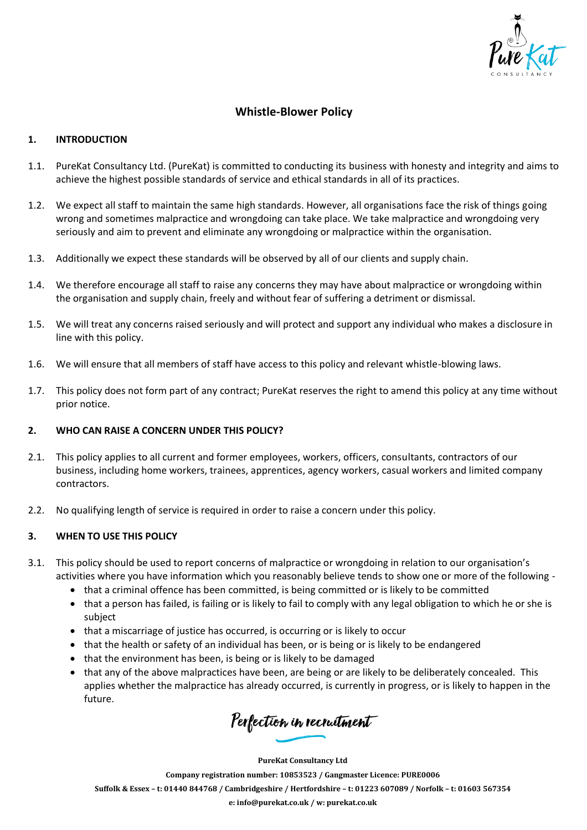

# **Whistle-Blower Policy**

### **1. INTRODUCTION**

- 1.1. PureKat Consultancy Ltd. (PureKat) is committed to conducting its business with honesty and integrity and aims to achieve the highest possible standards of service and ethical standards in all of its practices.
- 1.2. We expect all staff to maintain the same high standards. However, all organisations face the risk of things going wrong and sometimes malpractice and wrongdoing can take place. We take malpractice and wrongdoing very seriously and aim to prevent and eliminate any wrongdoing or malpractice within the organisation.
- 1.3. Additionally we expect these standards will be observed by all of our clients and supply chain.
- 1.4. We therefore encourage all staff to raise any concerns they may have about malpractice or wrongdoing within the organisation and supply chain, freely and without fear of suffering a detriment or dismissal.
- 1.5. We will treat any concerns raised seriously and will protect and support any individual who makes a disclosure in line with this policy.
- 1.6. We will ensure that all members of staff have access to this policy and relevant whistle-blowing laws.
- 1.7. This policy does not form part of any contract; PureKat reserves the right to amend this policy at any time without prior notice.

### **2. WHO CAN RAISE A CONCERN UNDER THIS POLICY?**

- 2.1. This policy applies to all current and former employees, workers, officers, consultants, contractors of our business, including home workers, trainees, apprentices, agency workers, casual workers and limited company contractors.
- 2.2. No qualifying length of service is required in order to raise a concern under this policy.

### **3. WHEN TO USE THIS POLICY**

- 3.1. This policy should be used to report concerns of malpractice or wrongdoing in relation to our organisation's activities where you have information which you reasonably believe tends to show one or more of the following -
	- that a criminal offence has been committed, is being committed or is likely to be committed
	- that a person has failed, is failing or is likely to fail to comply with any legal obligation to which he or she is subject
	- that a miscarriage of justice has occurred, is occurring or is likely to occur
	- that the health or safety of an individual has been, or is being or is likely to be endangered
	- that the environment has been, is being or is likely to be damaged
	- that any of the above malpractices have been, are being or are likely to be deliberately concealed. This applies whether the malpractice has already occurred, is currently in progress, or is likely to happen in the future.

Perfection in recruitment

**PureKat Consultancy Ltd**

**Company registration number: 10853523 / Gangmaster Licence: PURE0006**

Suffolk & Essex - t: 01440 844768 / Cambridgeshire / Hertfordshire - t: 01223 607089 / Norfolk - t: 01603 567354

**e: [info@purekat.co.uk](mailto:info@purekat.co.uk) / w: purekat.co.uk**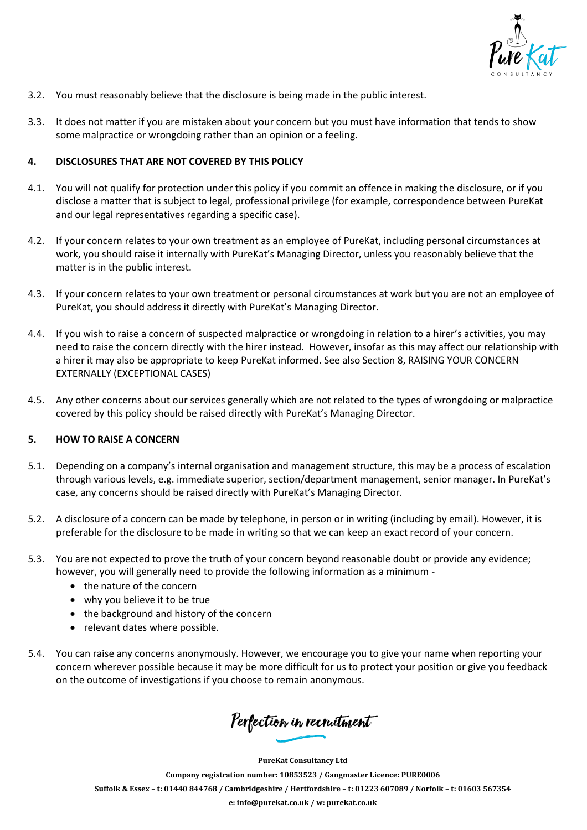

- 3.2. You must reasonably believe that the disclosure is being made in the public interest.
- 3.3. It does not matter if you are mistaken about your concern but you must have information that tends to show some malpractice or wrongdoing rather than an opinion or a feeling.

### **4. DISCLOSURES THAT ARE NOT COVERED BY THIS POLICY**

- 4.1. You will not qualify for protection under this policy if you commit an offence in making the disclosure, or if you disclose a matter that is subject to legal, professional privilege (for example, correspondence between PureKat and our legal representatives regarding a specific case).
- 4.2. If your concern relates to your own treatment as an employee of PureKat, including personal circumstances at work, you should raise it internally with PureKat's Managing Director, unless you reasonably believe that the matter is in the public interest.
- 4.3. If your concern relates to your own treatment or personal circumstances at work but you are not an employee of PureKat, you should address it directly with PureKat's Managing Director.
- 4.4. If you wish to raise a concern of suspected malpractice or wrongdoing in relation to a hirer's activities, you may need to raise the concern directly with the hirer instead. However, insofar as this may affect our relationship with a hirer it may also be appropriate to keep PureKat informed. See also Section 8, RAISING YOUR CONCERN EXTERNALLY (EXCEPTIONAL CASES)
- 4.5. Any other concerns about our services generally which are not related to the types of wrongdoing or malpractice covered by this policy should be raised directly with PureKat's Managing Director.

### **5. HOW TO RAISE A CONCERN**

- 5.1. Depending on a company's internal organisation and management structure, this may be a process of escalation through various levels, e.g. immediate superior, section/department management, senior manager. In PureKat's case, any concerns should be raised directly with PureKat's Managing Director.
- 5.2. A disclosure of a concern can be made by telephone, in person or in writing (including by email). However, it is preferable for the disclosure to be made in writing so that we can keep an exact record of your concern.
- 5.3. You are not expected to prove the truth of your concern beyond reasonable doubt or provide any evidence; however, you will generally need to provide the following information as a minimum -
	- the nature of the concern
	- why you believe it to be true
	- the background and history of the concern
	- relevant dates where possible.
- 5.4. You can raise any concerns anonymously. However, we encourage you to give your name when reporting your concern wherever possible because it may be more difficult for us to protect your position or give you feedback on the outcome of investigations if you choose to remain anonymous.

Perfection in recruitment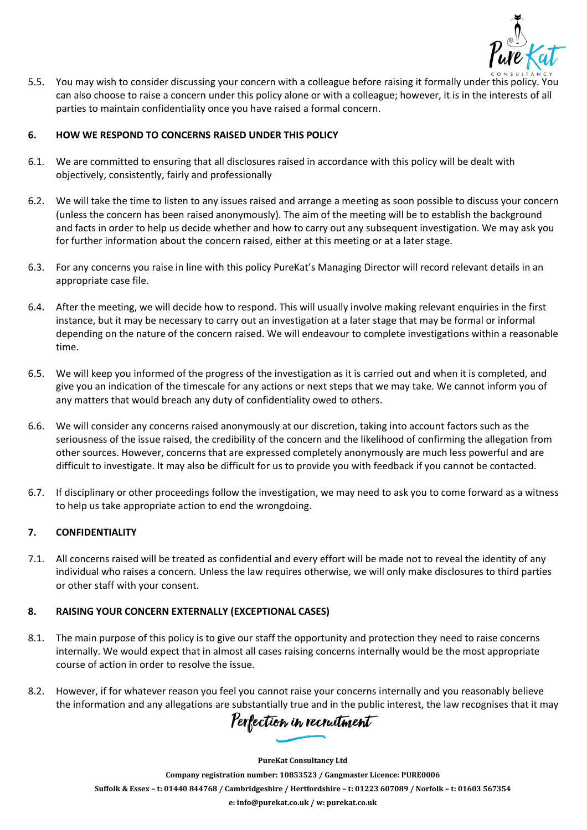

5.5. You may wish to consider discussing your concern with a colleague before raising it formally under this policy. You can also choose to raise a concern under this policy alone or with a colleague; however, it is in the interests of all parties to maintain confidentiality once you have raised a formal concern.

## **6. HOW WE RESPOND TO CONCERNS RAISED UNDER THIS POLICY**

- 6.1. We are committed to ensuring that all disclosures raised in accordance with this policy will be dealt with objectively, consistently, fairly and professionally
- 6.2. We will take the time to listen to any issues raised and arrange a meeting as soon possible to discuss your concern (unless the concern has been raised anonymously). The aim of the meeting will be to establish the background and facts in order to help us decide whether and how to carry out any subsequent investigation. We may ask you for further information about the concern raised, either at this meeting or at a later stage.
- 6.3. For any concerns you raise in line with this policy PureKat's Managing Director will record relevant details in an appropriate case file.
- 6.4. After the meeting, we will decide how to respond. This will usually involve making relevant enquiries in the first instance, but it may be necessary to carry out an investigation at a later stage that may be formal or informal depending on the nature of the concern raised. We will endeavour to complete investigations within a reasonable time.
- 6.5. We will keep you informed of the progress of the investigation as it is carried out and when it is completed, and give you an indication of the timescale for any actions or next steps that we may take. We cannot inform you of any matters that would breach any duty of confidentiality owed to others.
- 6.6. We will consider any concerns raised anonymously at our discretion, taking into account factors such as the seriousness of the issue raised, the credibility of the concern and the likelihood of confirming the allegation from other sources. However, concerns that are expressed completely anonymously are much less powerful and are difficult to investigate. It may also be difficult for us to provide you with feedback if you cannot be contacted.
- 6.7. If disciplinary or other proceedings follow the investigation, we may need to ask you to come forward as a witness to help us take appropriate action to end the wrongdoing.

# **7. CONFIDENTIALITY**

7.1. All concerns raised will be treated as confidential and every effort will be made not to reveal the identity of any individual who raises a concern. Unless the law requires otherwise, we will only make disclosures to third parties or other staff with your consent.

### **8. RAISING YOUR CONCERN EXTERNALLY (EXCEPTIONAL CASES)**

- 8.1. The main purpose of this policy is to give our staff the opportunity and protection they need to raise concerns internally. We would expect that in almost all cases raising concerns internally would be the most appropriate course of action in order to resolve the issue.
- 8.2. However, if for whatever reason you feel you cannot raise your concerns internally and you reasonably believe the information and any allegations are substantially true and in the public interest, the law recognises that it may

Perfection in recruitment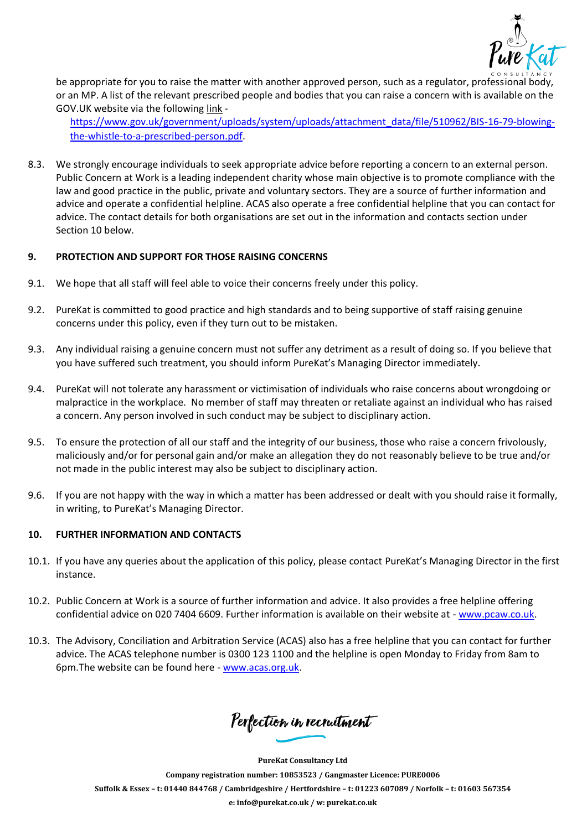

be appropriate for you to raise the matter with another approved person, such as a regulator, professional body, or an MP. A list of the relevant prescribed people and bodies that you can raise a concern with is available on the GOV.UK website via the following link -

[https://www.gov.uk/government/uploads/system/uploads/attachment\\_data/file/510962/BIS-16-79-blowing](https://www.gov.uk/government/uploads/system/uploads/attachment_data/file/510962/BIS-16-79-blowing-the-whistle-to-a-prescribed-person.pdf)[the-whistle-to-a-prescribed-person.pdf.](https://www.gov.uk/government/uploads/system/uploads/attachment_data/file/510962/BIS-16-79-blowing-the-whistle-to-a-prescribed-person.pdf)

8.3. We strongly encourage individuals to seek appropriate advice before reporting a concern to an external person. Public Concern at Work is a leading independent charity whose main objective is to promote compliance with the law and good practice in the public, private and voluntary sectors. They are a source of further information and advice and operate a confidential helpline. ACAS also operate a free confidential helpline that you can contact for advice. The contact details for both organisations are set out in the information and contacts section under Section 10 below.

### **9. PROTECTION AND SUPPORT FOR THOSE RAISING CONCERNS**

- 9.1. We hope that all staff will feel able to voice their concerns freely under this policy.
- 9.2. PureKat is committed to good practice and high standards and to being supportive of staff raising genuine concerns under this policy, even if they turn out to be mistaken.
- 9.3. Any individual raising a genuine concern must not suffer any detriment as a result of doing so. If you believe that you have suffered such treatment, you should inform PureKat's Managing Director immediately.
- 9.4. PureKat will not tolerate any harassment or victimisation of individuals who raise concerns about wrongdoing or malpractice in the workplace. No member of staff may threaten or retaliate against an individual who has raised a concern. Any person involved in such conduct may be subject to disciplinary action.
- 9.5. To ensure the protection of all our staff and the integrity of our business, those who raise a concern frivolously, maliciously and/or for personal gain and/or make an allegation they do not reasonably believe to be true and/or not made in the public interest may also be subject to disciplinary action.
- 9.6. If you are not happy with the way in which a matter has been addressed or dealt with you should raise it formally, in writing, to PureKat's Managing Director.

### **10. FURTHER INFORMATION AND CONTACTS**

- 10.1. If you have any queries about the application of this policy, please contact PureKat's Managing Director in the first instance.
- 10.2. Public Concern at Work is a source of further information and advice. It also provides a free helpline offering confidential advice on 020 7404 6609. Further information is available on their website at - [www.pcaw.co.uk.](http://www.pcaw.co.uk/)
- 10.3. The Advisory, Conciliation and Arbitration Service (ACAS) also has a free helpline that you can contact for further advice. The ACAS telephone number is 0300 123 1100 and the helpline is open Monday to Friday from 8am to 6pm.The website can be found here - [www.acas.org.uk.](http://www.acas.org.uk/)

Perfection in recruitment